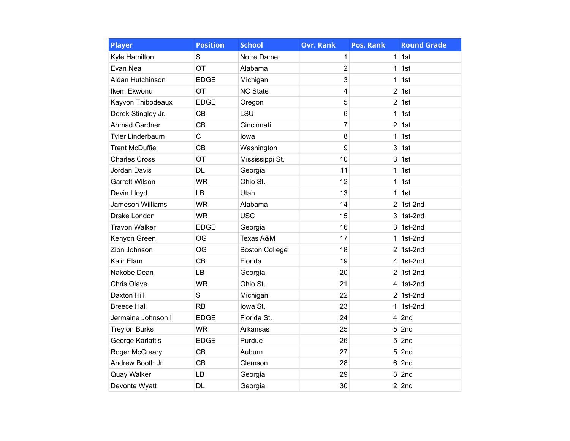| <b>Player</b>         | <b>Position</b> | <b>School</b>         | <b>Ovr. Rank</b> | Pos. Rank      | <b>Round Grade</b> |
|-----------------------|-----------------|-----------------------|------------------|----------------|--------------------|
| Kyle Hamilton         | S               | Notre Dame            | 1                | 1              | 1st                |
| Evan Neal             | OT              | Alabama               | $\overline{2}$   | 1              | 1st                |
| Aidan Hutchinson      | <b>EDGE</b>     | Michigan              | 3                | 1              | 1st                |
| Ikem Ekwonu           | OT              | <b>NC State</b>       | 4                | 2              | 1st                |
| Kayvon Thibodeaux     | <b>EDGE</b>     | Oregon                | 5                | $\overline{2}$ | 1st                |
| Derek Stingley Jr.    | CB              | LSU                   | 6                | 1              | 1st                |
| <b>Ahmad Gardner</b>  | CB              | Cincinnati            | 7                | $\overline{2}$ | 1st                |
| Tyler Linderbaum      | $\mathsf{C}$    | lowa                  | 8                | 1              | 1st                |
| <b>Trent McDuffie</b> | CB              | Washington            | 9                | 3              | 1st                |
| <b>Charles Cross</b>  | OT              | Mississippi St.       | 10               | 3              | 1st                |
| Jordan Davis          | <b>DL</b>       | Georgia               | 11               | 1              | 1st                |
| <b>Garrett Wilson</b> | <b>WR</b>       | Ohio St.              | 12               | 1              | 1st                |
| Devin Lloyd           | LB              | Utah                  | 13               | 1              | 1st                |
| Jameson Williams      | <b>WR</b>       | Alabama               | 14               | $\overline{2}$ | 1st-2nd            |
| Drake London          | <b>WR</b>       | <b>USC</b>            | 15               | 3              | 1st-2nd            |
| <b>Travon Walker</b>  | <b>EDGE</b>     | Georgia               | 16               | 3              | 1st-2nd            |
| Kenyon Green          | <b>OG</b>       | Texas A&M             | 17               | 1              | 1st-2nd            |
| Zion Johnson          | <b>OG</b>       | <b>Boston College</b> | 18               | $\overline{2}$ | 1st-2nd            |
| Kaiir Elam            | CB              | Florida               | 19               | 4              | 1st-2nd            |
| Nakobe Dean           | <b>LB</b>       | Georgia               | 20               | 2              | 1st-2nd            |
| <b>Chris Olave</b>    | <b>WR</b>       | Ohio St.              | 21               | 4              | 1st-2nd            |
| Daxton Hill           | $\mathbf S$     | Michigan              | 22               | 2              | 1st-2nd            |
| <b>Breece Hall</b>    | <b>RB</b>       | lowa St.              | 23               | 1              | 1st-2nd            |
| Jermaine Johnson II   | <b>EDGE</b>     | Florida St.           | 24               | 4              | 2nd                |
| <b>Treylon Burks</b>  | <b>WR</b>       | Arkansas              | 25               | 5              | 2nd                |
| George Karlaftis      | <b>EDGE</b>     | Purdue                | 26               | 5              | 2nd                |
| Roger McCreary        | CB              | Auburn                | 27               | 5              | 2nd                |
| Andrew Booth Jr.      | CB              | Clemson               | 28               | 6              | 2nd                |
| Quay Walker           | LB              | Georgia               | 29               | 3              | 2nd                |
| Devonte Wyatt         | <b>DL</b>       | Georgia               | 30               |                | $2$ 2nd            |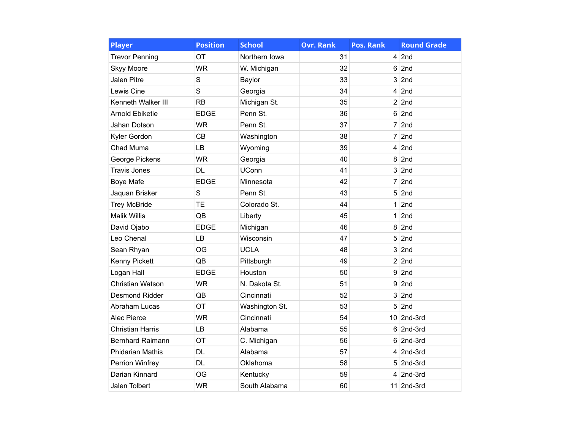| <b>Player</b>           | <b>Position</b> | <b>School</b>  | <b>Ovr. Rank</b> | <b>Pos. Rank</b> | <b>Round Grade</b> |
|-------------------------|-----------------|----------------|------------------|------------------|--------------------|
| <b>Trevor Penning</b>   | OT              | Northern Iowa  | 31               |                  | $4$ 2nd            |
| <b>Skyy Moore</b>       | <b>WR</b>       | W. Michigan    | 32               | 6                | 2nd                |
| <b>Jalen Pitre</b>      | S               | Baylor         | 33               | 3                | 2nd                |
| Lewis Cine              | S               | Georgia        | 34               | 4                | 2nd                |
| Kenneth Walker III      | <b>RB</b>       | Michigan St.   | 35               |                  | $2$ 2nd            |
| Arnold Ebiketie         | <b>EDGE</b>     | Penn St.       | 36               | 6                | 2nd                |
| Jahan Dotson            | <b>WR</b>       | Penn St.       | 37               |                  | $7$ 2nd            |
| Kyler Gordon            | CB              | Washington     | 38               | $\overline{7}$   | 2nd                |
| Chad Muma               | LB              | Wyoming        | 39               | 4                | 2nd                |
| George Pickens          | <b>WR</b>       | Georgia        | 40               | 8                | 2nd                |
| <b>Travis Jones</b>     | <b>DL</b>       | <b>UConn</b>   | 41               | 3                | 2nd                |
| <b>Boye Mafe</b>        | <b>EDGE</b>     | Minnesota      | 42               |                  | $7$ 2nd            |
| Jaquan Brisker          | S               | Penn St.       | 43               | 5                | 2nd                |
| <b>Trey McBride</b>     | <b>TE</b>       | Colorado St.   | 44               | 1                | 2nd                |
| <b>Malik Willis</b>     | QB              | Liberty        | 45               | 1                | 2nd                |
| David Ojabo             | <b>EDGE</b>     | Michigan       | 46               | 8                | 2nd                |
| Leo Chenal              | LB              | Wisconsin      | 47               | 5                | 2nd                |
| Sean Rhyan              | <b>OG</b>       | <b>UCLA</b>    | 48               | 3                | 2nd                |
| Kenny Pickett           | QB              | Pittsburgh     | 49               |                  | $2$ 2nd            |
| Logan Hall              | <b>EDGE</b>     | Houston        | 50               | 9                | 2nd                |
| Christian Watson        | <b>WR</b>       | N. Dakota St.  | 51               | 9                | 2nd                |
| <b>Desmond Ridder</b>   | QB              | Cincinnati     | 52               | 3                | 2nd                |
| Abraham Lucas           | OT              | Washington St. | 53               | 5                | 2nd                |
| Alec Pierce             | <b>WR</b>       | Cincinnati     | 54               |                  | 10 2nd-3rd         |
| <b>Christian Harris</b> | LB              | Alabama        | 55               | 6                | 2nd-3rd            |
| <b>Bernhard Raimann</b> | OT              | C. Michigan    | 56               | 6                | 2nd-3rd            |
| <b>Phidarian Mathis</b> | <b>DL</b>       | Alabama        | 57               | 4                | 2nd-3rd            |
| Perrion Winfrey         | <b>DL</b>       | Oklahoma       | 58               |                  | $5$ 2nd-3rd        |
| Darian Kinnard          | OG              | Kentucky       | 59               |                  | $4$ 2nd-3rd        |
| Jalen Tolbert           | <b>WR</b>       | South Alabama  | 60               |                  | $11$ 2nd-3rd       |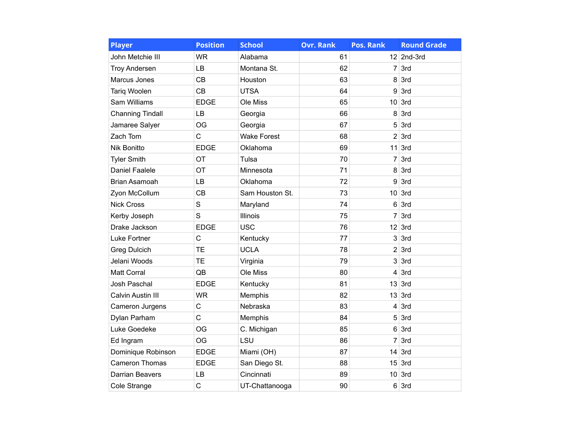| <b>Player</b>                                                                                                                                                                                                                                                                                                                                                                                                                                                                                                                                                                                                                                                                                                                                                                                                                                                                                                   | <b>Position</b> | <b>School</b>  | <b>Ovr. Rank</b> | <b>Pos. Rank</b>        | <b>Round Grade</b> |
|-----------------------------------------------------------------------------------------------------------------------------------------------------------------------------------------------------------------------------------------------------------------------------------------------------------------------------------------------------------------------------------------------------------------------------------------------------------------------------------------------------------------------------------------------------------------------------------------------------------------------------------------------------------------------------------------------------------------------------------------------------------------------------------------------------------------------------------------------------------------------------------------------------------------|-----------------|----------------|------------------|-------------------------|--------------------|
| John Metchie III                                                                                                                                                                                                                                                                                                                                                                                                                                                                                                                                                                                                                                                                                                                                                                                                                                                                                                | <b>WR</b>       | Alabama        | 61               |                         | $12$ 2nd-3rd       |
| <b>Troy Andersen</b>                                                                                                                                                                                                                                                                                                                                                                                                                                                                                                                                                                                                                                                                                                                                                                                                                                                                                            | LB              | Montana St.    | 62               |                         | $7 \vert 3rd$      |
| <b>CB</b><br>Marcus Jones<br>Houston<br><b>Tariq Woolen</b><br>CB<br><b>UTSA</b><br>Sam Williams<br><b>EDGE</b><br>Ole Miss<br>LB<br><b>Channing Tindall</b><br>Georgia<br>Jamaree Salyer<br>OG<br>Georgia<br>Zach Tom<br>C<br><b>Wake Forest</b><br><b>EDGE</b><br>Nik Bonitto<br>Oklahoma<br>OT<br>Tulsa<br><b>Tyler Smith</b><br>OT<br><b>Daniel Faalele</b><br>Minnesota<br>Brian Asamoah<br>LB<br>Oklahoma<br>CB<br>Sam Houston St.<br>Zyon McCollum<br><b>Nick Cross</b><br>S<br>Maryland<br>S<br>Illinois<br>Kerby Joseph<br><b>USC</b><br><b>EDGE</b><br>Drake Jackson<br>C<br>Luke Fortner<br>Kentucky<br><b>UCLA</b><br><b>TE</b><br><b>Greg Dulcich</b><br><b>TE</b><br>Jelani Woods<br>Virginia<br>Matt Corral<br>QB<br>Ole Miss<br><b>EDGE</b><br><b>Josh Paschal</b><br>Kentucky<br>Calvin Austin III<br><b>WR</b><br>Memphis<br>C<br>Nebraska<br>Cameron Jurgens<br>C<br>Dylan Parham<br>Memphis |                 | 63             | 8                | 3rd                     |                    |
|                                                                                                                                                                                                                                                                                                                                                                                                                                                                                                                                                                                                                                                                                                                                                                                                                                                                                                                 |                 |                | 64               | 9                       | 3rd                |
|                                                                                                                                                                                                                                                                                                                                                                                                                                                                                                                                                                                                                                                                                                                                                                                                                                                                                                                 |                 |                | 65               | 10 <sup>1</sup>         | 3rd                |
|                                                                                                                                                                                                                                                                                                                                                                                                                                                                                                                                                                                                                                                                                                                                                                                                                                                                                                                 |                 |                | 66               | 8                       | 3rd                |
|                                                                                                                                                                                                                                                                                                                                                                                                                                                                                                                                                                                                                                                                                                                                                                                                                                                                                                                 |                 |                | 67               | 5                       | 3rd                |
|                                                                                                                                                                                                                                                                                                                                                                                                                                                                                                                                                                                                                                                                                                                                                                                                                                                                                                                 |                 |                | 68               | 2                       | 3rd                |
|                                                                                                                                                                                                                                                                                                                                                                                                                                                                                                                                                                                                                                                                                                                                                                                                                                                                                                                 |                 |                | 69               | 11                      | 3rd                |
|                                                                                                                                                                                                                                                                                                                                                                                                                                                                                                                                                                                                                                                                                                                                                                                                                                                                                                                 |                 |                | 70               | $\overline{7}$          | 3rd                |
|                                                                                                                                                                                                                                                                                                                                                                                                                                                                                                                                                                                                                                                                                                                                                                                                                                                                                                                 |                 |                | 71               | 8                       | 3rd                |
|                                                                                                                                                                                                                                                                                                                                                                                                                                                                                                                                                                                                                                                                                                                                                                                                                                                                                                                 |                 |                | 72               | 9                       | 3rd                |
|                                                                                                                                                                                                                                                                                                                                                                                                                                                                                                                                                                                                                                                                                                                                                                                                                                                                                                                 |                 |                | 73               | 10                      | 3rd                |
|                                                                                                                                                                                                                                                                                                                                                                                                                                                                                                                                                                                                                                                                                                                                                                                                                                                                                                                 |                 |                | 74               | 6                       | 3rd                |
|                                                                                                                                                                                                                                                                                                                                                                                                                                                                                                                                                                                                                                                                                                                                                                                                                                                                                                                 |                 |                | 75               | 7                       | 3rd                |
|                                                                                                                                                                                                                                                                                                                                                                                                                                                                                                                                                                                                                                                                                                                                                                                                                                                                                                                 |                 |                | 76               | 12                      | 3rd                |
|                                                                                                                                                                                                                                                                                                                                                                                                                                                                                                                                                                                                                                                                                                                                                                                                                                                                                                                 |                 |                | 77               | 3                       | 3rd                |
|                                                                                                                                                                                                                                                                                                                                                                                                                                                                                                                                                                                                                                                                                                                                                                                                                                                                                                                 |                 |                | 78               | $\overline{2}$          | 3rd                |
|                                                                                                                                                                                                                                                                                                                                                                                                                                                                                                                                                                                                                                                                                                                                                                                                                                                                                                                 |                 |                | 79               | 3                       | 3rd                |
|                                                                                                                                                                                                                                                                                                                                                                                                                                                                                                                                                                                                                                                                                                                                                                                                                                                                                                                 |                 |                | 80               | 4                       | 3rd                |
|                                                                                                                                                                                                                                                                                                                                                                                                                                                                                                                                                                                                                                                                                                                                                                                                                                                                                                                 |                 |                | 81               | 13                      | 3rd                |
|                                                                                                                                                                                                                                                                                                                                                                                                                                                                                                                                                                                                                                                                                                                                                                                                                                                                                                                 |                 |                | 82               | 13                      | 3rd                |
|                                                                                                                                                                                                                                                                                                                                                                                                                                                                                                                                                                                                                                                                                                                                                                                                                                                                                                                 |                 |                | 83               | $\overline{\mathbf{4}}$ | 3rd                |
|                                                                                                                                                                                                                                                                                                                                                                                                                                                                                                                                                                                                                                                                                                                                                                                                                                                                                                                 |                 |                | 84               | 5                       | 3rd                |
| Luke Goedeke                                                                                                                                                                                                                                                                                                                                                                                                                                                                                                                                                                                                                                                                                                                                                                                                                                                                                                    | <b>OG</b>       | C. Michigan    | 85               | 6                       | 3rd                |
| Ed Ingram                                                                                                                                                                                                                                                                                                                                                                                                                                                                                                                                                                                                                                                                                                                                                                                                                                                                                                       | OG              | LSU            | 86               | 7                       | 3rd                |
| Dominique Robinson                                                                                                                                                                                                                                                                                                                                                                                                                                                                                                                                                                                                                                                                                                                                                                                                                                                                                              | <b>EDGE</b>     | Miami (OH)     | 87               | 14                      | 3rd                |
| <b>Cameron Thomas</b>                                                                                                                                                                                                                                                                                                                                                                                                                                                                                                                                                                                                                                                                                                                                                                                                                                                                                           | <b>EDGE</b>     | San Diego St.  | 88               | 15                      | 3rd                |
| Darrian Beavers                                                                                                                                                                                                                                                                                                                                                                                                                                                                                                                                                                                                                                                                                                                                                                                                                                                                                                 | LB              | Cincinnati     | 89               | 10 <sup>°</sup>         | 3rd                |
| Cole Strange                                                                                                                                                                                                                                                                                                                                                                                                                                                                                                                                                                                                                                                                                                                                                                                                                                                                                                    | C               | UT-Chattanooga | 90               | 6                       | 3rd                |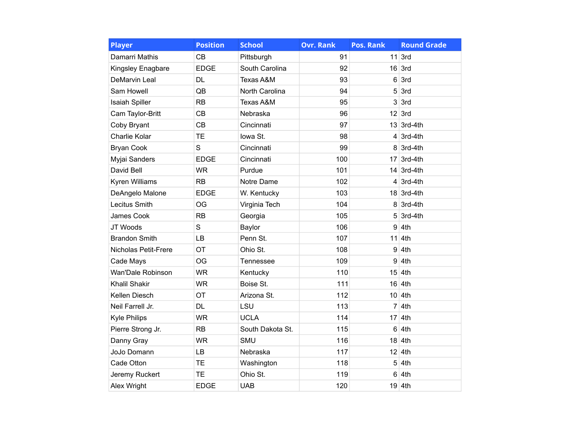| <b>Player</b>         | <b>Position</b> | <b>School</b>    | <b>Ovr. Rank</b> | <b>Pos. Rank</b> | <b>Round Grade</b> |
|-----------------------|-----------------|------------------|------------------|------------------|--------------------|
| Damarri Mathis        | <b>CB</b>       | Pittsburgh       | 91               |                  | $11$ 3rd           |
| Kingsley Enagbare     | <b>EDGE</b>     | South Carolina   | 92               |                  | $16$ 3rd           |
| DeMarvin Leal         | <b>DL</b>       | Texas A&M        | 93               | 6                | 3rd                |
| Sam Howell            | QB              | North Carolina   | 94               | 5                | 3rd                |
| <b>Isaiah Spiller</b> | <b>RB</b>       | Texas A&M        | 95               | 3                | 3rd                |
| Cam Taylor-Britt      | CB              | Nebraska         | 96               |                  | $12$ 3rd           |
| Coby Bryant           | CB              | Cincinnati       | 97               |                  | $13$ 3rd-4th       |
| Charlie Kolar         | <b>TE</b>       | lowa St.         | 98               |                  | $4 \vert 3$ rd-4th |
| <b>Bryan Cook</b>     | S               | Cincinnati       | 99               |                  | $8 \vert 3$ rd-4th |
| Myjai Sanders         | <b>EDGE</b>     | Cincinnati       | 100              |                  | $17$ 3rd-4th       |
| David Bell            | <b>WR</b>       | Purdue           | 101              |                  | 14 3rd-4th         |
| <b>Kyren Williams</b> | <b>RB</b>       | Notre Dame       | 102              |                  | $4 \vert 3$ rd-4th |
| DeAngelo Malone       | <b>EDGE</b>     | W. Kentucky      | 103              |                  | $18$ 3rd-4th       |
| Lecitus Smith         | OG              | Virginia Tech    | 104              |                  | $8 \mid 3rd-4th$   |
| James Cook            | <b>RB</b>       | Georgia          | 105              |                  | $5$ 3rd-4th        |
| JT Woods              | $\mathbf S$     | Baylor           | 106              | 9                | 4th                |
| <b>Brandon Smith</b>  | LB              | Penn St.         | 107              |                  | $11$ 4th           |
| Nicholas Petit-Frere  | OT              | Ohio St.         | 108              | 9                | 4th                |
| Cade Mays             | OG              | Tennessee        | 109              | 9                | 4th                |
| Wan'Dale Robinson     | <b>WR</b>       | Kentucky         | 110              | 15               | 4th                |
| Khalil Shakir         | <b>WR</b>       | Boise St.        | 111              | 16               | 4th                |
| Kellen Diesch         | OT              | Arizona St.      | 112              |                  | $10 \vert 4th$     |
| Neil Farrell Jr.      | <b>DL</b>       | LSU              | 113              | $\overline{7}$   | 4th                |
| <b>Kyle Philips</b>   | <b>WR</b>       | <b>UCLA</b>      | 114              | 17               | 4th                |
| Pierre Strong Jr.     | <b>RB</b>       | South Dakota St. | 115              | $6\phantom{1}6$  | 4th                |
| Danny Gray            | <b>WR</b>       | <b>SMU</b>       | 116              | 18               | 4th                |
| JoJo Domann           | LB              | Nebraska         | 117              |                  | $12$ 4th           |
| Cade Otton            | <b>TE</b>       | Washington       | 118              | 5                | 4th                |
| Jeremy Ruckert        | <b>TE</b>       | Ohio St.         | 119              | 6                | 4th                |
| Alex Wright           | <b>EDGE</b>     | <b>UAB</b>       | 120              |                  | 19 4th             |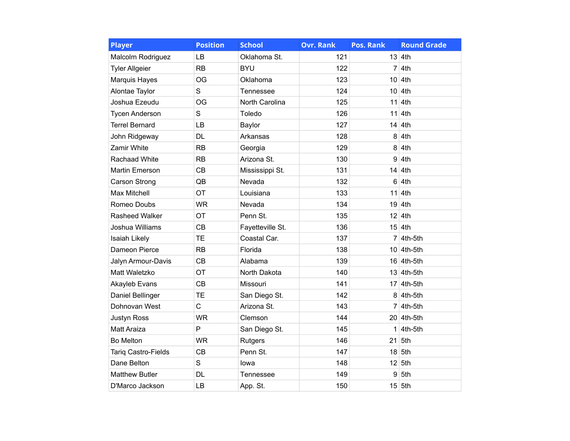| <b>Player</b>         | <b>Position</b> | <b>School</b>    | <b>Ovr. Rank</b> | <b>Pos. Rank</b> | <b>Round Grade</b>  |
|-----------------------|-----------------|------------------|------------------|------------------|---------------------|
| Malcolm Rodriguez     | LB              | Oklahoma St.     | 121              |                  | $13$ 4th            |
| <b>Tyler Allgeier</b> | <b>RB</b>       | <b>BYU</b>       | 122              |                  | $7 \vert 4th$       |
| Marquis Hayes         | <b>OG</b>       | Oklahoma         | 123              |                  | $10 \vert 4th$      |
| Alontae Taylor        | S               | Tennessee        | 124              | 10 <sup>1</sup>  | 4th                 |
| Joshua Ezeudu         | OG              | North Carolina   | 125              | 11               | 4th                 |
| <b>Tycen Anderson</b> | S               | Toledo           | 126              | 11               | 4th                 |
| <b>Terrel Bernard</b> | LВ              | Baylor           | 127              |                  | $14 \vert 4$ th     |
| John Ridgeway         | <b>DL</b>       | Arkansas         | 128              | 8                | 4th                 |
| Zamir White           | <b>RB</b>       | Georgia          | 129              | 8                | 4th                 |
| <b>Rachaad White</b>  | <b>RB</b>       | Arizona St.      | 130              | 9                | 4th                 |
| Martin Emerson        | <b>CB</b>       | Mississippi St.  | 131              | 14               | 4th                 |
| <b>Carson Strong</b>  | QB              | Nevada           | 132              | 6                | 4th                 |
| <b>Max Mitchell</b>   | OT              | Louisiana        | 133              |                  | $11$ 4th            |
| Romeo Doubs           | <b>WR</b>       | Nevada           | 134              | 19               | 4th                 |
| Rasheed Walker        | OT              | Penn St.         | 135              | 12 <sub>2</sub>  | 4th                 |
| Joshua Williams       | CB              | Fayetteville St. | 136              |                  | $15$ 4th            |
| Isaiah Likely         | <b>TE</b>       | Coastal Car.     | 137              |                  | $7 \vert 4$ th-5th  |
| Dameon Pierce         | <b>RB</b>       | Florida          | 138              |                  | $10 \vert 4$ th-5th |
| Jalyn Armour-Davis    | <b>CB</b>       | Alabama          | 139              |                  | $16$ 4th-5th        |
| Matt Waletzko         | OT              | North Dakota     | 140              |                  | $13$ 4th-5th        |
| Akayleb Evans         | CB              | Missouri         | 141              |                  | 17 4th-5th          |
| Daniel Bellinger      | <b>TE</b>       | San Diego St.    | 142              |                  | $8 \mid 4th-5th$    |
| Dohnovan West         | $\overline{C}$  | Arizona St.      | 143              |                  | $7 \vert 4$ th-5th  |
| <b>Justyn Ross</b>    | <b>WR</b>       | Clemson          | 144              |                  | $20 \vert 4$ th-5th |
| <b>Matt Araiza</b>    | P               | San Diego St.    | 145              |                  | $1$ 4th-5th         |
| <b>Bo Melton</b>      | <b>WR</b>       | Rutgers          | 146              |                  | $21$ 5th            |
| Tariq Castro-Fields   | <b>CB</b>       | Penn St.         | 147              |                  | $18$ 5th            |
| Dane Belton           | $\mathbf S$     | lowa             | 148              |                  | $12$ 5th            |
| <b>Matthew Butler</b> | <b>DL</b>       | Tennessee        | 149              | 9                | 5th                 |
| D'Marco Jackson       | LB              | App. St.         | 150              |                  | $15$ 5th            |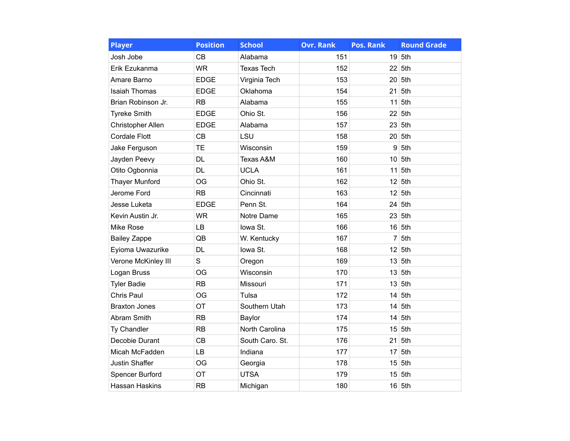| <b>Player</b>         | <b>Position</b> | <b>School</b>     | <b>Ovr. Rank</b> | Pos. Rank       | <b>Round Grade</b> |
|-----------------------|-----------------|-------------------|------------------|-----------------|--------------------|
| Josh Jobe             | <b>CB</b>       | Alabama           | 151              | 19              | 5th                |
| Erik Ezukanma         | <b>WR</b>       | <b>Texas Tech</b> | 152              |                 | 22 5th             |
| Amare Barno           | <b>EDGE</b>     | Virginia Tech     | 153              | 20 <sup>1</sup> | 5th                |
| <b>Isaiah Thomas</b>  | <b>EDGE</b>     | Oklahoma          | 154              | 21              | 5th                |
| Brian Robinson Jr.    | <b>RB</b>       | Alabama           | 155              | 11              | 5th                |
| <b>Tyreke Smith</b>   | <b>EDGE</b>     | Ohio St.          | 156              | 22              | 5th                |
| Christopher Allen     | <b>EDGE</b>     | Alabama           | 157              | 23              | 5th                |
| <b>Cordale Flott</b>  | CB              | LSU               | 158              | 20 <sup>2</sup> | 5th                |
| Jake Ferguson         | <b>TE</b>       | Wisconsin         | 159              | 9               | 5th                |
| Jayden Peevy          | <b>DL</b>       | Texas A&M         | 160              | 10 <sup>1</sup> | 5th                |
| Otito Ogbonnia        | <b>DL</b>       | <b>UCLA</b>       | 161              | 11              | 5th                |
| <b>Thayer Munford</b> | OG              | Ohio St.          | 162              |                 | $12$ 5th           |
| Jerome Ford           | RB              | Cincinnati        | 163              | 12              | 5th                |
| Jesse Luketa          | <b>EDGE</b>     | Penn St.          | 164              | 24              | 5th                |
| Kevin Austin Jr.      | <b>WR</b>       | Notre Dame        | 165              | 23              | 5th                |
| Mike Rose             | LB              | lowa St.          | 166              | 16              | 5th                |
| <b>Bailey Zappe</b>   | QB              | W. Kentucky       | 167              | $\overline{7}$  | 5th                |
| Eyioma Uwazurike      | <b>DL</b>       | lowa St.          | 168              | 12              | 5th                |
| Verone McKinley III   | $\mathbf S$     | Oregon            | 169              | 13              | 5th                |
| Logan Bruss           | OG              | Wisconsin         | 170              | 13              | 5th                |
| <b>Tyler Badie</b>    | RB              | Missouri          | 171              | 13              | 5th                |
| Chris Paul            | <b>OG</b>       | Tulsa             | 172              | 14              | 5th                |
| <b>Braxton Jones</b>  | OT              | Southern Utah     | 173              | 14              | 5th                |
| Abram Smith           | <b>RB</b>       | Baylor            | 174              | 14              | 5th                |
| Ty Chandler           | RB              | North Carolina    | 175              | 15              | 5th                |
| Decobie Durant        | CB              | South Caro. St.   | 176              | 21              | 5th                |
| Micah McFadden        | LB              | Indiana           | 177              | 17 <sup>2</sup> | 5th                |
| Justin Shaffer        | <b>OG</b>       | Georgia           | 178              | 15              | 5th                |
| Spencer Burford       | OT              | <b>UTSA</b>       | 179              | 15              | 5th                |
| Hassan Haskins        | RB              | Michigan          | 180              |                 | 16 5th             |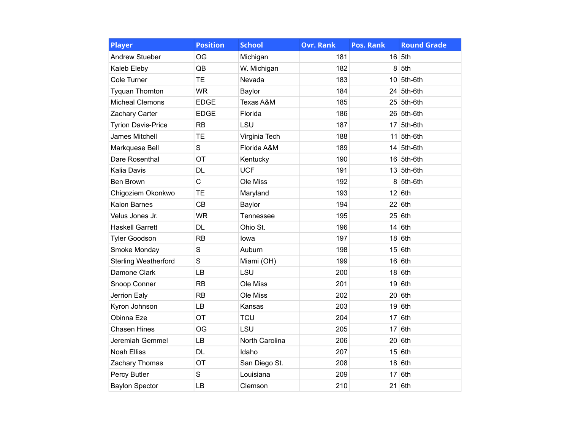| <b>Player</b>               | <b>Position</b> | <b>School</b>  | <b>Ovr. Rank</b> | <b>Pos. Rank</b> | <b>Round Grade</b> |
|-----------------------------|-----------------|----------------|------------------|------------------|--------------------|
| <b>Andrew Stueber</b>       | OG              | Michigan       | 181              |                  | $16$ 5th           |
| Kaleb Eleby                 | QB              | W. Michigan    | 182              | 8                | 5th                |
| Cole Turner                 | <b>TE</b>       | Nevada         | 183              |                  | $10$ 5th-6th       |
| <b>Tyquan Thornton</b>      | <b>WR</b>       | Baylor         | 184              |                  | $24$ 5th-6th       |
| <b>Micheal Clemons</b>      | <b>EDGE</b>     | Texas A&M      | 185              |                  | $25$ 5th-6th       |
| Zachary Carter              | <b>EDGE</b>     | Florida        | 186              |                  | 26 5th-6th         |
| <b>Tyrion Davis-Price</b>   | <b>RB</b>       | LSU            | 187              |                  | $17$ 5th-6th       |
| <b>James Mitchell</b>       | <b>TE</b>       | Virginia Tech  | 188              |                  | $11$ 5th-6th       |
| Markquese Bell              | S               | Florida A&M    | 189              |                  | $14$ 5th-6th       |
| Dare Rosenthal              | OT              | Kentucky       | 190              |                  | $16$ 5th-6th       |
| Kalia Davis                 | <b>DL</b>       | <b>UCF</b>     | 191              |                  | $13$ 5th-6th       |
| <b>Ben Brown</b>            | $\overline{C}$  | Ole Miss       | 192              |                  | $8 \vert 5$ th-6th |
| Chigoziem Okonkwo           | <b>TE</b>       | Maryland       | 193              |                  | $12$ 6th           |
| Kalon Barnes                | <b>CB</b>       | Baylor         | 194              |                  | $22$ 6th           |
| Velus Jones Jr.             | <b>WR</b>       | Tennessee      | 195              | 25               | 6th                |
| <b>Haskell Garrett</b>      | <b>DL</b>       | Ohio St.       | 196              | 14               | 6th                |
| <b>Tyler Goodson</b>        | <b>RB</b>       | lowa           | 197              |                  | $18$ 6th           |
| Smoke Monday                | S               | Auburn         | 198              | 15               | 6th                |
| <b>Sterling Weatherford</b> | S               | Miami (OH)     | 199              |                  | 16 6th             |
| Damone Clark                | LB              | LSU            | 200              | 18               | 6th                |
| Snoop Conner                | <b>RB</b>       | Ole Miss       | 201              | 19               | 6th                |
| Jerrion Ealy                | <b>RB</b>       | Ole Miss       | 202              |                  | $20$ 6th           |
| Kyron Johnson               | LB              | Kansas         | 203              | 19               | 6th                |
| Obinna Eze                  | OT              | <b>TCU</b>     | 204              |                  | $17$ 6th           |
| <b>Chasen Hines</b>         | <b>OG</b>       | LSU            | 205              | 17               | 6th                |
| Jeremiah Gemmel             | <b>LB</b>       | North Carolina | 206              | 20 <sup>1</sup>  | 6th                |
| <b>Noah Elliss</b>          | <b>DL</b>       | Idaho          | 207              |                  | $15$ 6th           |
| Zachary Thomas              | OT              | San Diego St.  | 208              |                  | $18$ 6th           |
| Percy Butler                | S               | Louisiana      | 209              | 17               | 6th                |
| <b>Baylon Spector</b>       | LB              | Clemson        | 210              |                  | $21$ 6th           |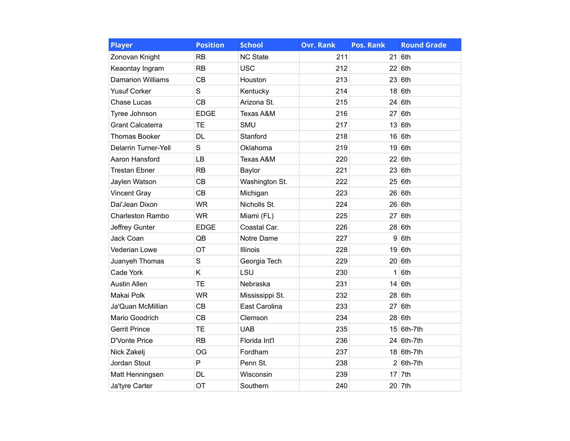| <b>Player</b>               | <b>Position</b> | <b>School</b>   | <b>Ovr. Rank</b> | <b>Pos. Rank</b> | <b>Round Grade</b> |
|-----------------------------|-----------------|-----------------|------------------|------------------|--------------------|
| Zonovan Knight              | <b>RB</b>       | <b>NC State</b> | 211              | 21               | 6th                |
| Keaontay Ingram             | <b>RB</b>       | <b>USC</b>      | 212              |                  | 22 6th             |
| <b>Damarion Williams</b>    | <b>CB</b>       | Houston         | 213              |                  | $23$ 6th           |
| <b>Yusuf Corker</b>         | S               | Kentucky        | 214              |                  | $18$ 6th           |
| Chase Lucas                 | CB              | Arizona St.     | 215              |                  | $24$ 6th           |
| Tyree Johnson               | <b>EDGE</b>     | Texas A&M       | 216              | 27               | 6th                |
| <b>Grant Calcaterra</b>     | <b>TE</b>       | <b>SMU</b>      | 217              |                  | 13 6th             |
| <b>Thomas Booker</b>        | <b>DL</b>       | Stanford        | 218              |                  | $16$ 6th           |
| <b>Delarrin Turner-Yell</b> | S               | Oklahoma        | 219              |                  | $19$ 6th           |
| Aaron Hansford              | LB              | Texas A&M       | 220              |                  | 22 6th             |
| <b>Trestan Ebner</b>        | RB              | Baylor          | 221              |                  | 23 6th             |
| Jaylen Watson               | CB              | Washington St.  | 222              |                  | $25$ 6th           |
| <b>Vincent Gray</b>         | <b>CB</b>       | Michigan        | 223              |                  | $26$ 6th           |
| Dai'Jean Dixon              | <b>WR</b>       | Nicholls St.    | 224              |                  | 26 6th             |
| <b>Charleston Rambo</b>     | <b>WR</b>       | Miami (FL)      | 225              | 27               | 6th                |
| Jeffrey Gunter              | <b>EDGE</b>     | Coastal Car.    | 226              | 28               | 6th                |
| Jack Coan                   | QB              | Notre Dame      | 227              | 9                | 6th                |
| Vederian Lowe               | OT              | Illinois        | 228              |                  | $19$ 6th           |
| Juanyeh Thomas              | S               | Georgia Tech    | 229              |                  | 20 6th             |
| Cade York                   | Κ               | LSU             | 230              | 1                | 6th                |
| <b>Austin Allen</b>         | <b>TE</b>       | Nebraska        | 231              | 14               | 6th                |
| Makai Polk                  | <b>WR</b>       | Mississippi St. | 232              |                  | $28$ 6th           |
| Ja'Quan McMillian           | CB              | East Carolina   | 233              |                  | $27$ 6th           |
| Mario Goodrich              | CB              | Clemson         | 234              |                  | $28$ 6th           |
| <b>Gerrit Prince</b>        | <b>TE</b>       | <b>UAB</b>      | 235              |                  | $15$ 6th-7th       |
| D'Vonte Price               | RB              | Florida Int'l   | 236              |                  | 24 6th-7th         |
| Nick Zakelj                 | OG              | Fordham         | 237              |                  | $18$ 6th-7th       |
| Jordan Stout                | P               | Penn St.        | 238              |                  | $2 6th-7th$        |
| Matt Henningsen             | <b>DL</b>       | Wisconsin       | 239              | 17               | 7th                |
| Ja'tyre Carter              | OT              | Southern        | 240              |                  | 20 7th             |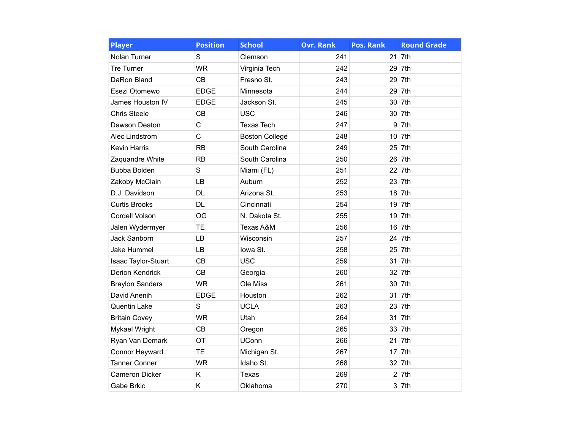| <b>Player</b>          | <b>Position</b> | <b>School</b>         | <b>Ovr. Rank</b> | <b>Pos. Rank</b> | <b>Round Grade</b> |
|------------------------|-----------------|-----------------------|------------------|------------------|--------------------|
| Nolan Turner           | S               | Clemson               | 241              | 21               | 7th                |
| Tre Turner             | <b>WR</b>       | Virginia Tech         | 242              | 29               | 7th                |
| DaRon Bland            | CB              | Fresno St.            | 243              | 29               | 7th                |
| Esezi Otomewo          | <b>EDGE</b>     | Minnesota             | 244              | 29               | 7th                |
| James Houston IV       | <b>EDGE</b>     | Jackson St.           | 245              | 30               | 7th                |
| <b>Chris Steele</b>    | <b>CB</b>       | <b>USC</b>            | 246              | 30 <sup>°</sup>  | 7th                |
| Dawson Deaton          | $\mathsf C$     | <b>Texas Tech</b>     | 247              | 9                | 7th                |
| Alec Lindstrom         | C               | <b>Boston College</b> | 248              | 10               | 7th                |
| <b>Kevin Harris</b>    | RB              | South Carolina        | 249              | 25               | 7th                |
| Zaquandre White        | <b>RB</b>       | South Carolina        | 250              | 26               | 7th                |
| Bubba Bolden           | S               | Miami (FL)            | 251              | 22               | 7th                |
| Zakoby McClain         | LB              | Auburn                | 252              | 23               | 7th                |
| D.J. Davidson          | <b>DL</b>       | Arizona St.           | 253              | 18               | 7th                |
| <b>Curtis Brooks</b>   | <b>DL</b>       | Cincinnati            | 254              | 19               | 7th                |
| Cordell Volson         | OG              | N. Dakota St.         | 255              | 19               | 7th                |
| Jalen Wydermyer        | <b>TE</b>       | Texas A&M             | 256              | 16               | 7th                |
| Jack Sanborn           | LB              | Wisconsin             | 257              | 24               | 7th                |
| Jake Hummel            | LB              | lowa St.              | 258              | 25               | 7th                |
| Isaac Taylor-Stuart    | CB              | <b>USC</b>            | 259              | 31               | 7th                |
| <b>Derion Kendrick</b> | <b>CB</b>       | Georgia               | 260              | 32               | 7th                |
| <b>Braylon Sanders</b> | <b>WR</b>       | Ole Miss              | 261              | 30               | 7th                |
| David Anenih           | <b>EDGE</b>     | Houston               | 262              | 31               | 7th                |
| Quentin Lake           | $\mathbf S$     | <b>UCLA</b>           | 263              | 23               | 7th                |
| <b>Britain Covey</b>   | <b>WR</b>       | Utah                  | 264              | 31               | 7th                |
| Mykael Wright          | CB              | Oregon                | 265              | 33               | 7th                |
| Ryan Van Demark        | OT              | <b>UConn</b>          | 266              | 21               | 7th                |
| Connor Heyward         | <b>TE</b>       | Michigan St.          | 267              | 17               | 7th                |
| <b>Tanner Conner</b>   | <b>WR</b>       | Idaho St.             | 268              | 32               | 7th                |
| Cameron Dicker         | K               | Texas                 | 269              | $\overline{2}$   | 7th                |
| <b>Gabe Brkic</b>      | K               | Oklahoma              | 270              |                  | $3$ 7th            |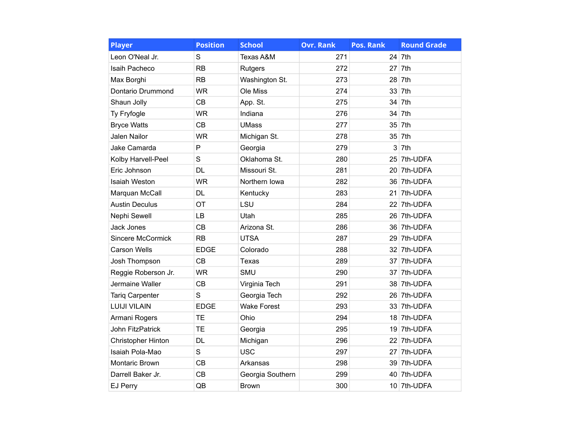| <b>Player</b>             | <b>Position</b> | <b>School</b>      | <b>Ovr. Rank</b> | Pos. Rank       | <b>Round Grade</b> |
|---------------------------|-----------------|--------------------|------------------|-----------------|--------------------|
| Leon O'Neal Jr.           | S               | Texas A&M          | 271              | 24              | 7th                |
| Isaih Pacheco             | <b>RB</b>       | Rutgers            | 272              | 27              | 7th                |
| Max Borghi                | <b>RB</b>       | Washington St.     | 273              | 28              | 7th                |
| Dontario Drummond         | <b>WR</b>       | Ole Miss           | 274              | 33              | 7th                |
| Shaun Jolly               | <b>CB</b>       | App. St.           | 275              | 34              | 7th                |
| Ty Fryfogle               | <b>WR</b>       | Indiana            | 276              | 34              | 7th                |
| <b>Bryce Watts</b>        | CB              | <b>UMass</b>       | 277              | 35              | 7th                |
| <b>Jalen Nailor</b>       | <b>WR</b>       | Michigan St.       | 278              | 35 <sup>5</sup> | 7th                |
| Jake Camarda              | P               | Georgia            | 279              | 3               | 7th                |
| Kolby Harvell-Peel        | S               | Oklahoma St.       | 280              | 25              | 7th-UDFA           |
| Eric Johnson              | <b>DL</b>       | Missouri St.       | 281              | 20              | 7th-UDFA           |
| <b>Isaiah Weston</b>      | <b>WR</b>       | Northern Iowa      | 282              |                 | 36 7th-UDFA        |
| Marquan McCall            | <b>DL</b>       | Kentucky           | 283              | 21              | 7th-UDFA           |
| <b>Austin Deculus</b>     | OT              | LSU                | 284              | 22              | 7th-UDFA           |
| Nephi Sewell              | LB              | Utah               | 285              | 26              | 7th-UDFA           |
| <b>Jack Jones</b>         | CB              | Arizona St.        | 286              |                 | 36 7th-UDFA        |
| <b>Sincere McCormick</b>  | <b>RB</b>       | <b>UTSA</b>        | 287              | 29              | 7th-UDFA           |
| <b>Carson Wells</b>       | <b>EDGE</b>     | Colorado           | 288              |                 | 32 7th-UDFA        |
| Josh Thompson             | CB              | Texas              | 289              | 37              | 7th-UDFA           |
| Reggie Roberson Jr.       | <b>WR</b>       | <b>SMU</b>         | 290              | 37              | 7th-UDFA           |
| Jermaine Waller           | CB              | Virginia Tech      | 291              | 38              | 7th-UDFA           |
| <b>Tariq Carpenter</b>    | S               | Georgia Tech       | 292              | 26              | 7th-UDFA           |
| <b>LUIJI VILAIN</b>       | <b>EDGE</b>     | <b>Wake Forest</b> | 293              | 33              | 7th-UDFA           |
| Armani Rogers             | TE              | Ohio               | 294              |                 | 18 7th-UDFA        |
| <b>John FitzPatrick</b>   | <b>TE</b>       | Georgia            | 295              | 19              | 7th-UDFA           |
| <b>Christopher Hinton</b> | <b>DL</b>       | Michigan           | 296              | 22              | 7th-UDFA           |
| Isaiah Pola-Mao           | S               | <b>USC</b>         | 297              | 27              | 7th-UDFA           |
| Montaric Brown            | CB              | Arkansas           | 298              | 39              | 7th-UDFA           |
| Darrell Baker Jr.         | <b>CB</b>       | Georgia Southern   | 299              |                 | 40 7th-UDFA        |
| EJ Perry                  | QB              | <b>Brown</b>       | 300              |                 | 10 7th-UDFA        |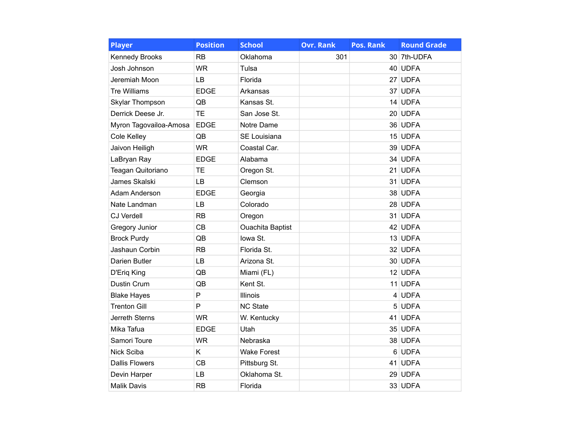| <b>Player</b>          | <b>Position</b> | <b>School</b>           | <b>Ovr. Rank</b> | <b>Pos. Rank</b> | <b>Round Grade</b> |
|------------------------|-----------------|-------------------------|------------------|------------------|--------------------|
| <b>Kennedy Brooks</b>  | <b>RB</b>       | Oklahoma                | 301              |                  | 30 7th-UDFA        |
| Josh Johnson           | <b>WR</b>       | Tulsa                   |                  |                  | 40 UDFA            |
| Jeremiah Moon          | <b>LB</b>       | Florida                 |                  |                  | 27 UDFA            |
| <b>Tre Williams</b>    | <b>EDGE</b>     | Arkansas                |                  |                  | 37 UDFA            |
| Skylar Thompson        | QB              | Kansas St.              |                  |                  | 14 UDFA            |
| Derrick Deese Jr.      | <b>TE</b>       | San Jose St.            |                  |                  | 20 UDFA            |
| Myron Tagovailoa-Amosa | <b>EDGE</b>     | Notre Dame              |                  |                  | 36 UDFA            |
| Cole Kelley            | QB              | SE Louisiana            |                  |                  | 15 UDFA            |
| Jaivon Heiligh         | <b>WR</b>       | Coastal Car.            |                  |                  | 39 UDFA            |
| LaBryan Ray            | <b>EDGE</b>     | Alabama                 |                  |                  | 34 UDFA            |
| Teagan Quitoriano      | TE              | Oregon St.              |                  |                  | 21 UDFA            |
| James Skalski          | LB              | Clemson                 |                  |                  | 31 UDFA            |
| Adam Anderson          | <b>EDGE</b>     | Georgia                 |                  |                  | 38 UDFA            |
| Nate Landman           | LB              | Colorado                |                  |                  | 28 UDFA            |
| <b>CJ Verdell</b>      | <b>RB</b>       | Oregon                  |                  |                  | 31 UDFA            |
| Gregory Junior         | CB              | <b>Ouachita Baptist</b> |                  |                  | 42 UDFA            |
| <b>Brock Purdy</b>     | QB              | lowa St.                |                  |                  | 13 UDFA            |
| Jashaun Corbin         | RB              | Florida St.             |                  |                  | 32 UDFA            |
| Darien Butler          | LB              | Arizona St.             |                  |                  | 30 UDFA            |
| D'Eriq King            | QB              | Miami (FL)              |                  |                  | 12 UDFA            |
| Dustin Crum            | QB              | Kent St.                |                  |                  | 11 UDFA            |
| <b>Blake Hayes</b>     | P               | Illinois                |                  |                  | 4 UDFA             |
| <b>Trenton Gill</b>    | P               | <b>NC State</b>         |                  |                  | 5 UDFA             |
| <b>Jerreth Sterns</b>  | <b>WR</b>       | W. Kentucky             |                  |                  | 41 UDFA            |
| Mika Tafua             | <b>EDGE</b>     | Utah                    |                  |                  | 35 UDFA            |
| Samori Toure           | <b>WR</b>       | Nebraska                |                  |                  | 38 UDFA            |
| Nick Sciba             | K               | <b>Wake Forest</b>      |                  |                  | 6 UDFA             |
| <b>Dallis Flowers</b>  | CB              | Pittsburg St.           |                  |                  | 41 UDFA            |
| Devin Harper           | LB              | Oklahoma St.            |                  |                  | 29 UDFA            |
| <b>Malik Davis</b>     | RB              | Florida                 |                  |                  | 33 UDFA            |